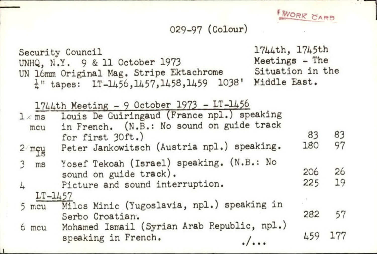WORK CARD

**All Contracts** 

## 029-97 (Colour)

|               |           | Security Council<br>UNHQ, N.Y. 9 & 11 October 1973<br>UN 16mm Original Mag. Stripe Ektachrome<br>$\frac{1}{4}$ " tapes: IT-1456, 1457, 1458, 1459 1038' | 1744th, 1745th<br>Meetings - The<br>Situation in the<br>Middle East. |     |     |
|---------------|-----------|---------------------------------------------------------------------------------------------------------------------------------------------------------|----------------------------------------------------------------------|-----|-----|
| $1 \times ms$ | mcu       | 1744th Meeting - 9 October 1973 - LT-1456<br>Louis De Guiringaud (France npl.) speaking<br>in French. (N.B.: No sound on guide track                    |                                                                      |     |     |
|               |           | for first 30ft.)                                                                                                                                        |                                                                      | 83  | 83  |
| $2$ mey       |           | Peter Jankowitsch (Austria npl.) speaking.                                                                                                              |                                                                      | 180 | 97  |
| $3$ ms        |           | Yosef Tekoah (Israel) speaking. (N.B.: No<br>sound on guide track).                                                                                     |                                                                      | 206 | 26  |
| $\frac{1}{2}$ |           | Picture and sound interruption.                                                                                                                         |                                                                      | 225 | 19  |
|               | $LT-1457$ |                                                                                                                                                         |                                                                      |     |     |
|               |           | 5 mcu Milos Minic (Yugoslavia, npl.) speaking in<br>Serbo Croatian.                                                                                     |                                                                      | 282 | 57  |
|               |           | 6 mcu Mohamed Ismail (Syrian Arab Republic, npl.)<br>speaking in French.<br>$\cdot/\cdots$                                                              |                                                                      | 459 | 177 |

 $\overline{1}$